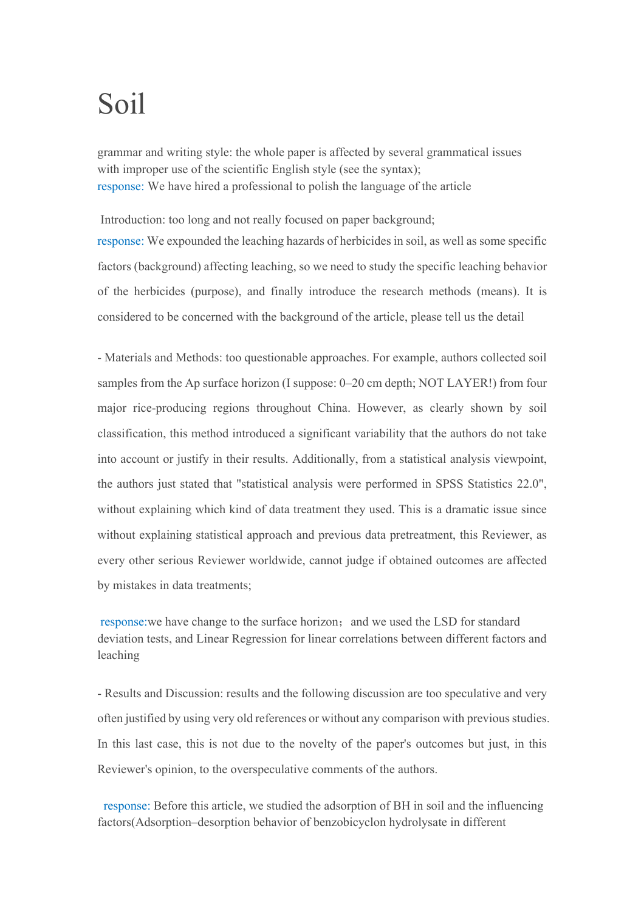## Soil

grammar and writing style: the whole paper is affected by several grammatical issues with improper use of the scientific English style (see the syntax); response: We have hired a professional to polish the language of the article

Introduction: too long and not really focused on paper background; response: We expounded the leaching hazards of herbicides in soil, as well as some specific factors (background) affecting leaching, so we need to study the specific leaching behavior of the herbicides (purpose), and finally introduce the research methods (means). It is considered to be concerned with the background of the article, please tell us the detail

- Materials and Methods: too questionable approaches. For example, authors collected soil samples from the Ap surface horizon (I suppose: 0–20 cm depth; NOT LAYER!) from four major rice-producing regions throughout China. However, as clearly shown by soil classification, this method introduced a significant variability that the authors do not take into account or justify in their results. Additionally, from a statistical analysis viewpoint, the authors just stated that "statistical analysis were performed in SPSS Statistics 22.0", without explaining which kind of data treatment they used. This is a dramatic issue since without explaining statistical approach and previous data pretreatment, this Reviewer, as every other serious Reviewer worldwide, cannot judge if obtained outcomes are affected by mistakes in data treatments;

response: we have change to the surface horizon; and we used the LSD for standard deviation tests, and Linear Regression for linear correlations between different factors and leaching

- Results and Discussion: results and the following discussion are too speculative and very often justified by using very old references or without any comparison with previous studies. In this last case, this is not due to the novelty of the paper's outcomes but just, in this Reviewer's opinion, to the overspeculative comments of the authors.

response: Before this article, we studied the adsorption of BH in soil and the influencing factors(Adsorption–desorption behavior of benzobicyclon hydrolysate in different